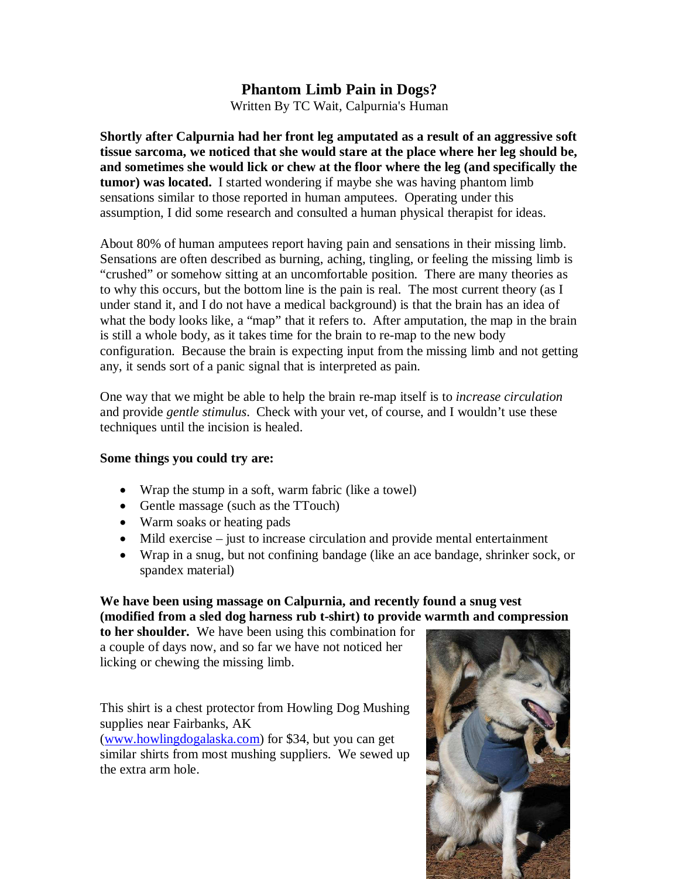## **Phantom Limb Pain in Dogs?**

Written By TC Wait, Calpurnia's Human

**Shortly after Calpurnia had her front leg amputated as a result of an aggressive soft tissue sarcoma, we noticed that she would stare at the place where her leg should be, and sometimes she would lick or chew at the floor where the leg (and specifically the tumor) was located.** I started wondering if maybe she was having phantom limb sensations similar to those reported in human amputees. Operating under this assumption, I did some research and consulted a human physical therapist for ideas.

About 80% of human amputees report having pain and sensations in their missing limb. Sensations are often described as burning, aching, tingling, or feeling the missing limb is "crushed" or somehow sitting at an uncomfortable position. There are many theories as to why this occurs, but the bottom line is the pain is real. The most current theory (as I under stand it, and I do not have a medical background) is that the brain has an idea of what the body looks like, a "map" that it refers to. After amputation, the map in the brain is still a whole body, as it takes time for the brain to re-map to the new body configuration. Because the brain is expecting input from the missing limb and not getting any, it sends sort of a panic signal that is interpreted as pain.

One way that we might be able to help the brain re-map itself is to *increase circulation* and provide *gentle stimulus*. Check with your vet, of course, and I wouldn't use these techniques until the incision is healed.

## **Some things you could try are:**

- Wrap the stump in a soft, warm fabric (like a towel)
- Gentle massage (such as the TTouch)
- Warm soaks or heating pads
- Mild exercise just to increase circulation and provide mental entertainment
- Wrap in a snug, but not confining bandage (like an ace bandage, shrinker sock, or spandex material)

## **We have been using massage on Calpurnia, and recently found a snug vest (modified from a sled dog harness rub t-shirt) to provide warmth and compression**

**to her shoulder.** We have been using this combination for a couple of days now, and so far we have not noticed her licking or chewing the missing limb.

This shirt is a chest protector from Howling Dog Mushing supplies near Fairbanks, AK

(www.howlingdogalaska.com) for \$34, but you can get similar shirts from most mushing suppliers. We sewed up the extra arm hole.